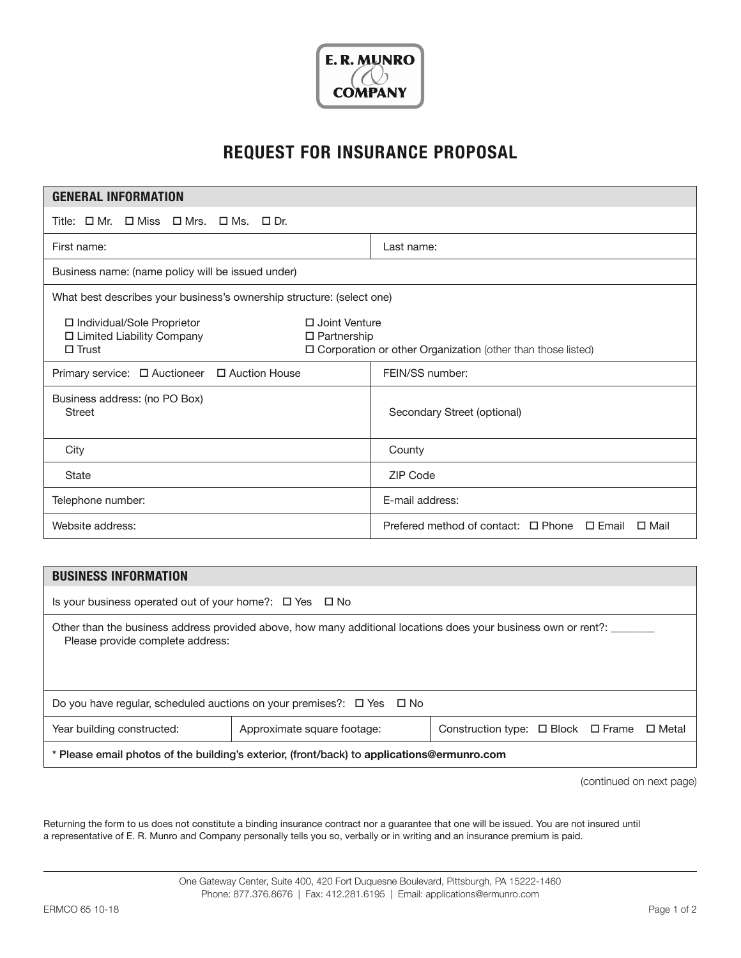

## **REQUEST FOR INSURANCE PROPOSAL**

| <b>GENERAL INFORMATION</b>                                                                                                                                                                 |                                                                      |  |  |  |
|--------------------------------------------------------------------------------------------------------------------------------------------------------------------------------------------|----------------------------------------------------------------------|--|--|--|
| Title: $\Box$ Mr. $\Box$ Miss $\Box$ Mrs. $\Box$ Ms. $\Box$ Dr.                                                                                                                            |                                                                      |  |  |  |
| First name:                                                                                                                                                                                | Last name:                                                           |  |  |  |
| Business name: (name policy will be issued under)                                                                                                                                          |                                                                      |  |  |  |
| What best describes your business's ownership structure: (select one)                                                                                                                      |                                                                      |  |  |  |
| □ Individual/Sole Proprietor<br>$\Box$ Joint Venture<br>□ Limited Liability Company<br>$\Box$ Partnership<br>□ Corporation or other Organization (other than those listed)<br>$\Box$ Trust |                                                                      |  |  |  |
| Primary service: □ Auctioneer □ Auction House                                                                                                                                              | FEIN/SS number:                                                      |  |  |  |
| Business address: (no PO Box)<br><b>Street</b>                                                                                                                                             | Secondary Street (optional)                                          |  |  |  |
| City                                                                                                                                                                                       | County                                                               |  |  |  |
| <b>State</b>                                                                                                                                                                               | <b>ZIP Code</b>                                                      |  |  |  |
| Telephone number:                                                                                                                                                                          | E-mail address:                                                      |  |  |  |
| Website address:                                                                                                                                                                           | Prefered method of contact: $\Box$ Phone $\Box$ Email<br>$\Box$ Mail |  |  |  |
|                                                                                                                                                                                            |                                                                      |  |  |  |
| <b>BUSINESS INFORMATION</b>                                                                                                                                                                |                                                                      |  |  |  |

| <b>BUSINESS INFORMATION</b>                                                                                                                        |                             |                                                           |  |  |  |
|----------------------------------------------------------------------------------------------------------------------------------------------------|-----------------------------|-----------------------------------------------------------|--|--|--|
| Is your business operated out of your home?: $\Box$ Yes $\Box$ No                                                                                  |                             |                                                           |  |  |  |
| Other than the business address provided above, how many additional locations does your business own or rent?:<br>Please provide complete address: |                             |                                                           |  |  |  |
| Do you have regular, scheduled auctions on your premises?: $\Box$ Yes $\Box$ No                                                                    |                             |                                                           |  |  |  |
| Year building constructed:                                                                                                                         | Approximate square footage: | Construction type: $\Box$ Block $\Box$ Frame $\Box$ Metal |  |  |  |
| * Please email photos of the building's exterior, (front/back) to applications@ermunro.com                                                         |                             |                                                           |  |  |  |

(continued on next page)

Returning the form to us does not constitute a binding insurance contract nor a guarantee that one will be issued. You are not insured until a representative of E. R. Munro and Company personally tells you so, verbally or in writing and an insurance premium is paid.

> One Gateway Center, Suite 400, 420 Fort Duquesne Boulevard, Pittsburgh, PA 15222-1460 Phone: 877.376.8676 | Fax: 412.281.6195 | Email: applications@ermunro.com